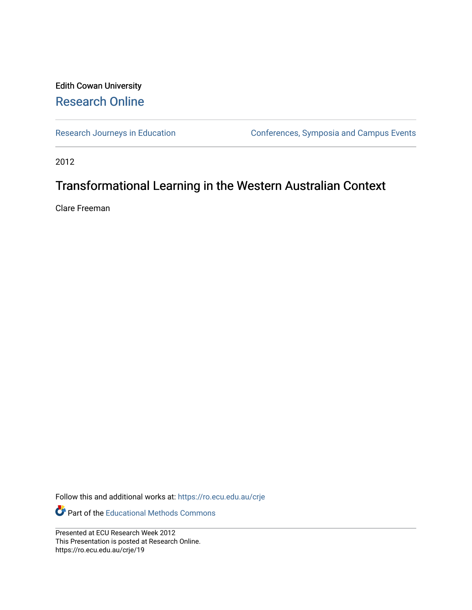#### Edith Cowan University [Research Online](https://ro.ecu.edu.au/)

[Research Journeys in Education](https://ro.ecu.edu.au/crje) Conferences, Symposia and Campus Events

2012

#### Transformational Learning in the Western Australian Context

Clare Freeman

Follow this and additional works at: [https://ro.ecu.edu.au/crje](https://ro.ecu.edu.au/crje?utm_source=ro.ecu.edu.au%2Fcrje%2F19&utm_medium=PDF&utm_campaign=PDFCoverPages) 

Part of the [Educational Methods Commons](http://network.bepress.com/hgg/discipline/1227?utm_source=ro.ecu.edu.au%2Fcrje%2F19&utm_medium=PDF&utm_campaign=PDFCoverPages) 

Presented at ECU Research Week 2012 This Presentation is posted at Research Online. https://ro.ecu.edu.au/crje/19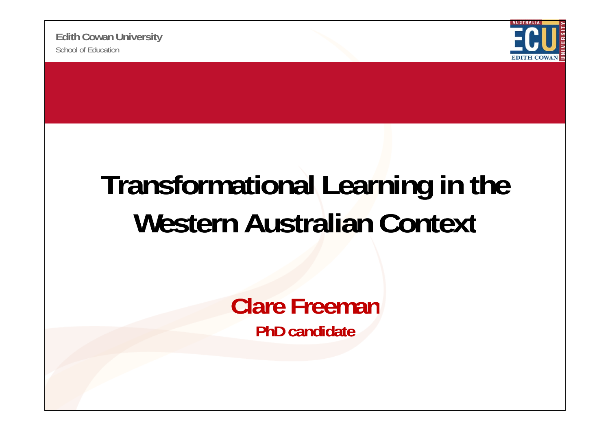School of Education**Edith Cowan University**



## **Transformational Learning in the Western Australian Context**

**Clare FreemanPhD candidate**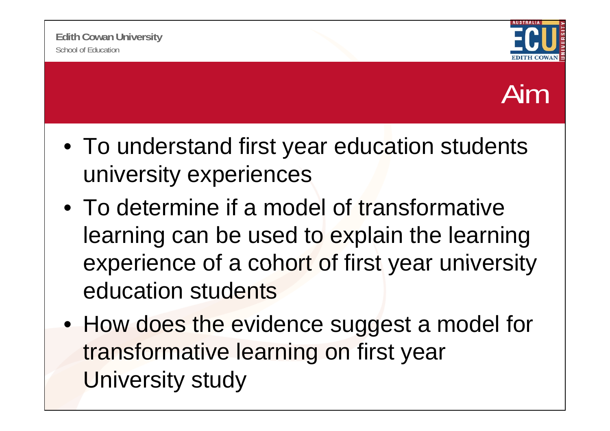

#### Aim

- To understand first year education students university experiences
- To determine if a model of transformative learning can be used to explain the learning experience of <sup>a</sup> cohort of first year university education students
- How does the evidence suggest a model for transformative learning on first year University study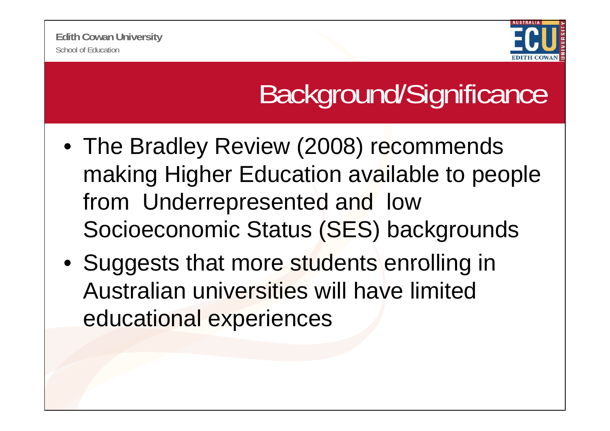

## Background/Significance

- The Bradley Review (2008) recommends making Higher Education available to people from Underrepresented and low Socioeconomic Status (SES) backgrounds
- Suggests that more students enrolling in Australian universities will have limited educational experiences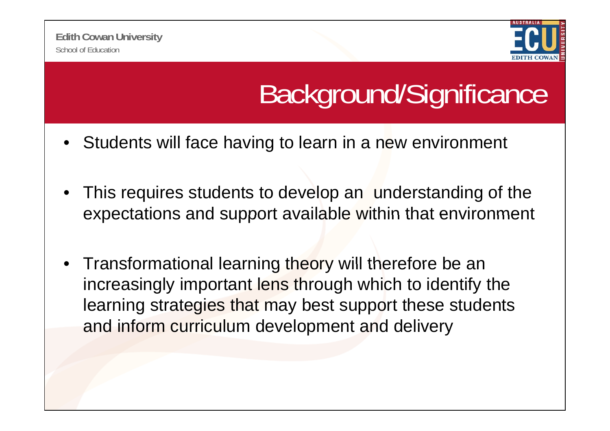

# Background/Significance

- Students will face having to learn in a new environment
- • This requires students to develop an understanding of the expectations and support available within that environment
- $\bullet$ Transformational learning theory will therefore be an increasingly important lens through which to identify the learning strategies that may best support these students and inform curriculum development and delivery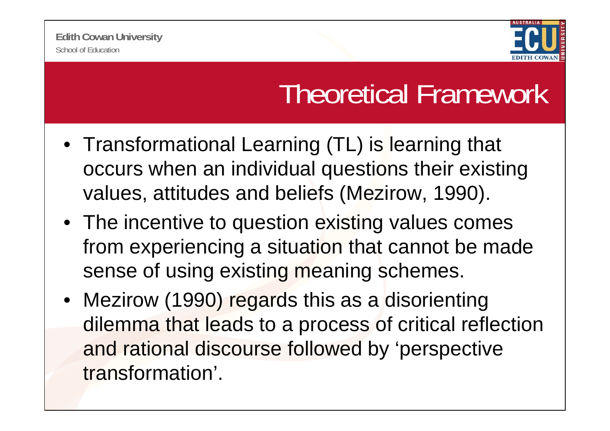

### Theoretical Framework

- Transformational Learning (TL) is learning that occurs when an individual questions their existing values, attitudes and beliefs (Mezirow, 1990).
- The incentive to question existing values comes from experiencing a situation that cannot be made sense of using existing meaning schemes.
- Mezirow (1990) regards this as a disorienting dilemma that leads to a process of critical reflection and rational discourse followed by 'perspective transformation'.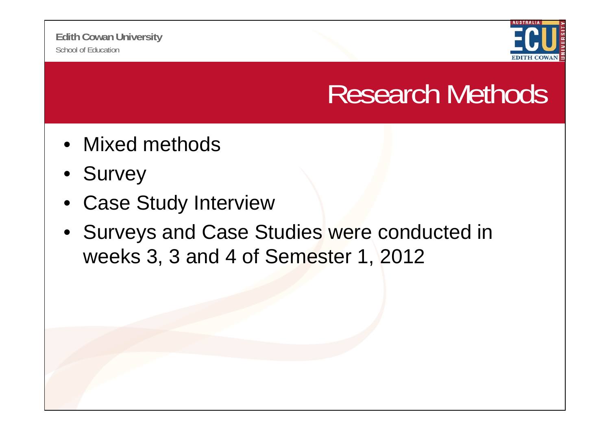

#### Research Methods

- Mixed methods
- Survey
- $\bullet$ Case Study Interview
- Surveys and Case Studies were conducted in weeks 3, 3 and 4 of Semester 1, 2012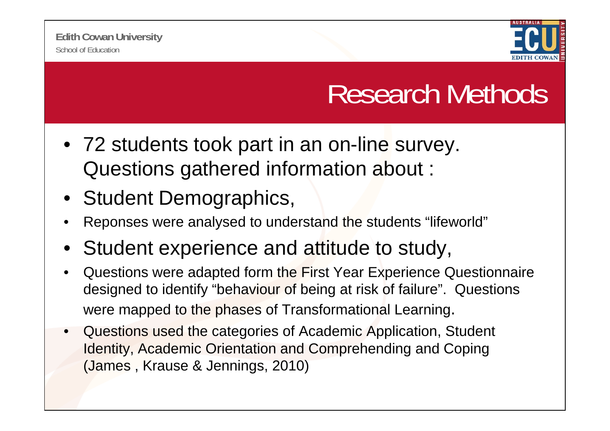

### Research Methods

- 72 students took part in an on-line survey. Questions gathered information about :
- Student Demographics,
- •Reponses were analysed to understand the students "lifeworld"
- $\bullet$ Student experience and attitude to study,
- • Questions were adapted form the First Year Experience Questionnaire designed to identify "behaviour of being at risk of failure". Questions were mapped to the phases of Transformational Learning.
- • Questions used the categories of Academic Application, Student Identity, Academic Orientation and Comprehending and Coping (James, Krause & Jennings, 2010)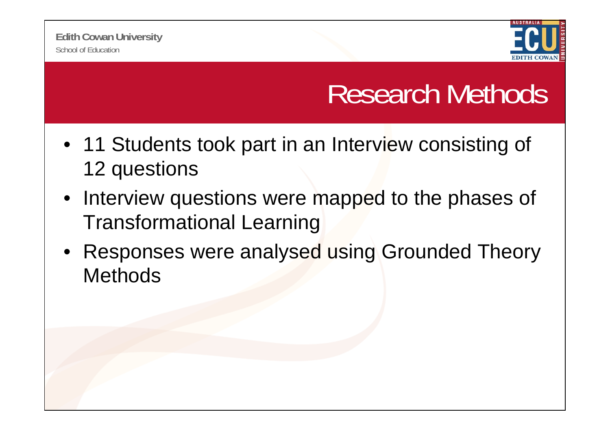

### Research Methods

- 11 Students took part in an Interview consisting of 12 questions
- Interview questions were mapped to the phases of Transformational Learning
- Responses were analysed using Grounded Theory **Methods**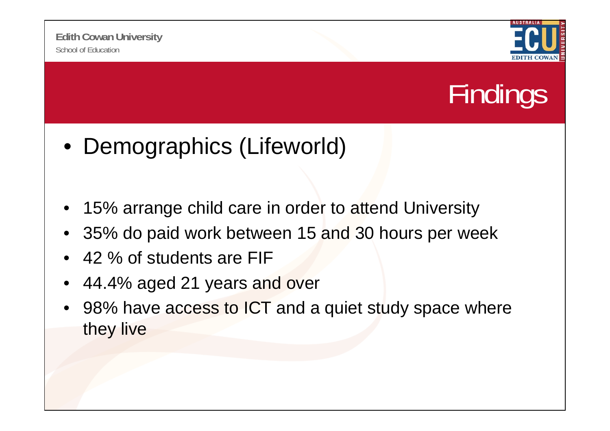



- Demographics (Lifeworld)
- •15% arrange child care in order to attend University
- •35% do paid work between 15 and 30 hours per week
- •42 % of students are FIF
- •44.4% aged 21 years and over
- •98% have access to ICT and a quiet study space where they live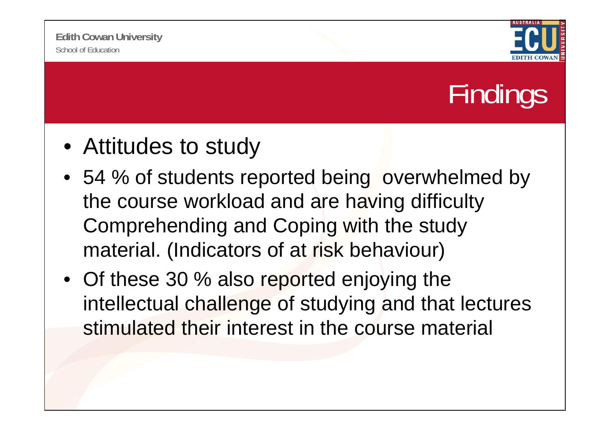

# Findings

- Attitudes to study
- 54 % of students reported being overwhelmed by the course workload and are having difficulty Comprehending and Coping with the study material. (Indicators of at risk behaviour)
- Of these 30 % also reported enjoying the intellectual challenge of studying and that lectures stimulated their interest in the course material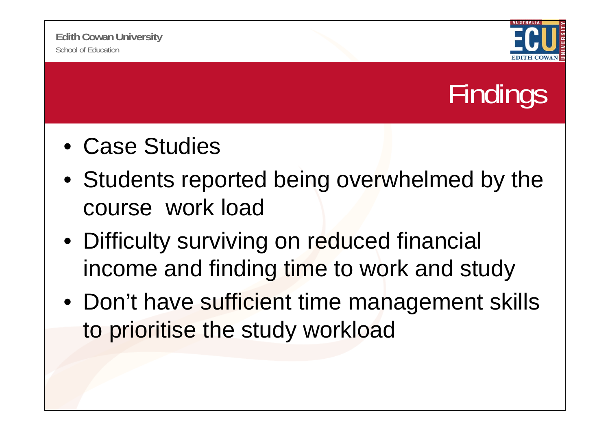



- Case Studies
- Students reported being overwhelmed by the course work load
- Difficulty surviving on reduced financial income and finding time to work and study
- Don't have sufficient time management skills to prioritise the study workload